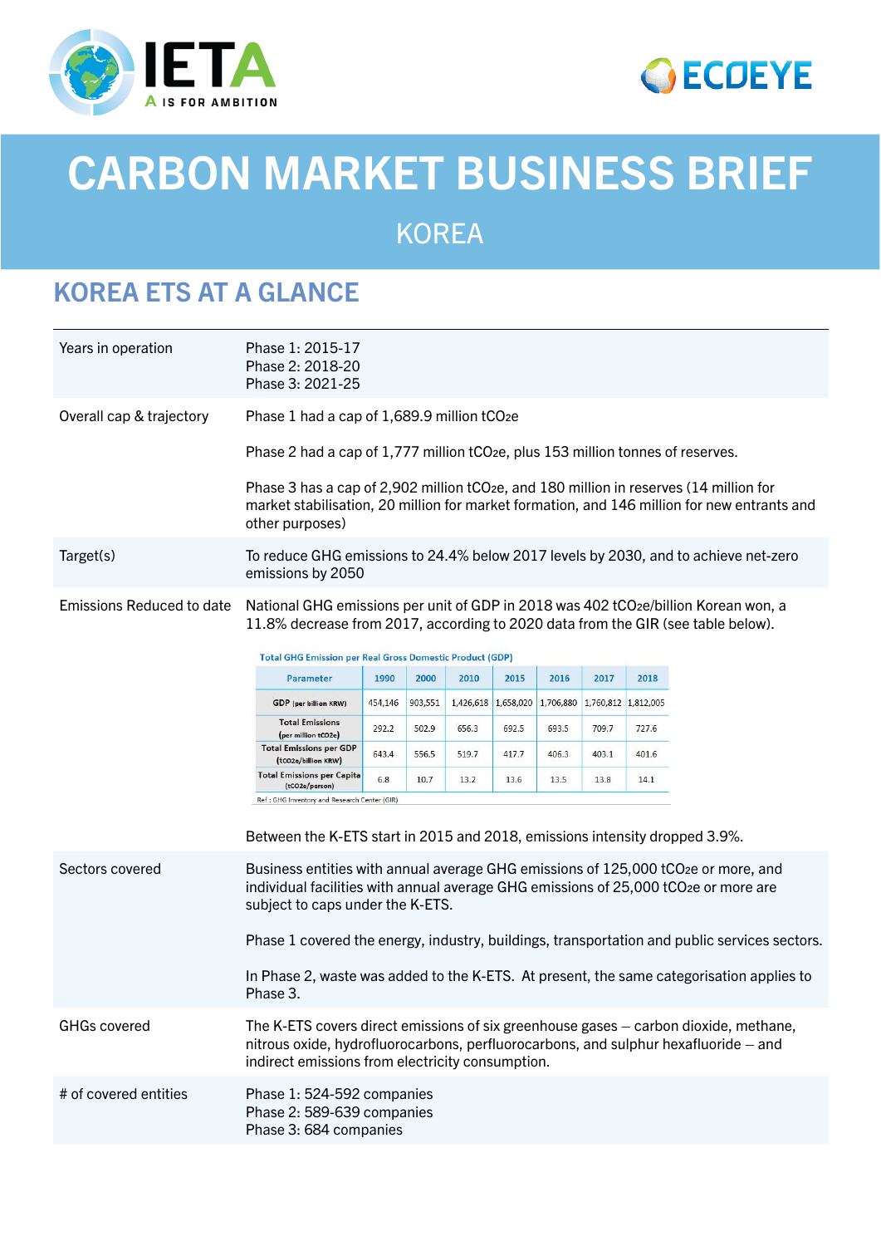



# CARBON MARKET BUSINESS BRIEF

KOREA

# KOREA ETS AT A GLANCE

| Years in operation        | Phase 1: 2015-17<br>Phase 2: 2018-20<br>Phase 3: 2021-25                                                                                                                                                                        |         |         |           |       |                                         |       |       |                                                                                             |  |
|---------------------------|---------------------------------------------------------------------------------------------------------------------------------------------------------------------------------------------------------------------------------|---------|---------|-----------|-------|-----------------------------------------|-------|-------|---------------------------------------------------------------------------------------------|--|
| Overall cap & trajectory  | Phase 1 had a cap of 1,689.9 million tCO2e                                                                                                                                                                                      |         |         |           |       |                                         |       |       |                                                                                             |  |
|                           | Phase 2 had a cap of 1,777 million tCO <sub>2</sub> e, plus 153 million tonnes of reserves.                                                                                                                                     |         |         |           |       |                                         |       |       |                                                                                             |  |
|                           | Phase 3 has a cap of 2,902 million tCO <sub>2</sub> e, and 180 million in reserves (14 million for<br>other purposes)                                                                                                           |         |         |           |       |                                         |       |       | market stabilisation, 20 million for market formation, and 146 million for new entrants and |  |
| Target(s)                 | To reduce GHG emissions to 24.4% below 2017 levels by 2030, and to achieve net-zero<br>emissions by 2050                                                                                                                        |         |         |           |       |                                         |       |       |                                                                                             |  |
| Emissions Reduced to date | National GHG emissions per unit of GDP in 2018 was 402 tCO2e/billion Korean won, a<br>11.8% decrease from 2017, according to 2020 data from the GIR (see table below).                                                          |         |         |           |       |                                         |       |       |                                                                                             |  |
|                           | <b>Total GHG Emission per Real Gross Domestic Product (GDP)</b>                                                                                                                                                                 |         |         |           |       |                                         |       |       |                                                                                             |  |
|                           | Parameter                                                                                                                                                                                                                       | 1990    | 2000    | 2010      | 2015  | 2016                                    | 2017  | 2018  |                                                                                             |  |
|                           | <b>GDP</b> (per billion KRW)                                                                                                                                                                                                    | 454,146 | 903,551 | 1,426,618 |       | 1,658,020 1,706,880 1,760,812 1,812,005 |       |       |                                                                                             |  |
|                           | <b>Total Emissions</b><br>(per million tCO2e)                                                                                                                                                                                   | 292.2   | 502.9   | 656.3     | 692.5 | 693.5                                   | 709.7 | 727.6 |                                                                                             |  |
|                           | <b>Total Emissions per GDP</b><br>(tCO2e/billion KRW)                                                                                                                                                                           | 643.4   | 556.5   | 519.7     | 417.7 | 406.3                                   | 403.1 | 401.6 |                                                                                             |  |
|                           | <b>Total Emissions per Capita</b><br>(tCO2e/person)                                                                                                                                                                             | 6.8     | 10.7    | 13.2      | 13.6  | 13.5                                    | 13.8  | 14.1  |                                                                                             |  |
|                           | Ref : GHG Inventory and Research Center (GIR)                                                                                                                                                                                   |         |         |           |       |                                         |       |       |                                                                                             |  |
|                           | Between the K-ETS start in 2015 and 2018, emissions intensity dropped 3.9%.                                                                                                                                                     |         |         |           |       |                                         |       |       |                                                                                             |  |
| Sectors covered           | Business entities with annual average GHG emissions of 125,000 tCO <sub>2</sub> e or more, and<br>individual facilities with annual average GHG emissions of 25,000 tCO2e or more are<br>subject to caps under the K-ETS.       |         |         |           |       |                                         |       |       |                                                                                             |  |
|                           | Phase 1 covered the energy, industry, buildings, transportation and public services sectors.                                                                                                                                    |         |         |           |       |                                         |       |       |                                                                                             |  |
|                           | In Phase 2, waste was added to the K-ETS. At present, the same categorisation applies to<br>Phase 3.                                                                                                                            |         |         |           |       |                                         |       |       |                                                                                             |  |
| <b>GHGs covered</b>       | The K-ETS covers direct emissions of six greenhouse gases - carbon dioxide, methane,<br>nitrous oxide, hydrofluorocarbons, perfluorocarbons, and sulphur hexafluoride – and<br>indirect emissions from electricity consumption. |         |         |           |       |                                         |       |       |                                                                                             |  |
| # of covered entities     | Phase 1: 524-592 companies<br>Phase 2: 589-639 companies<br>Phase 3: 684 companies                                                                                                                                              |         |         |           |       |                                         |       |       |                                                                                             |  |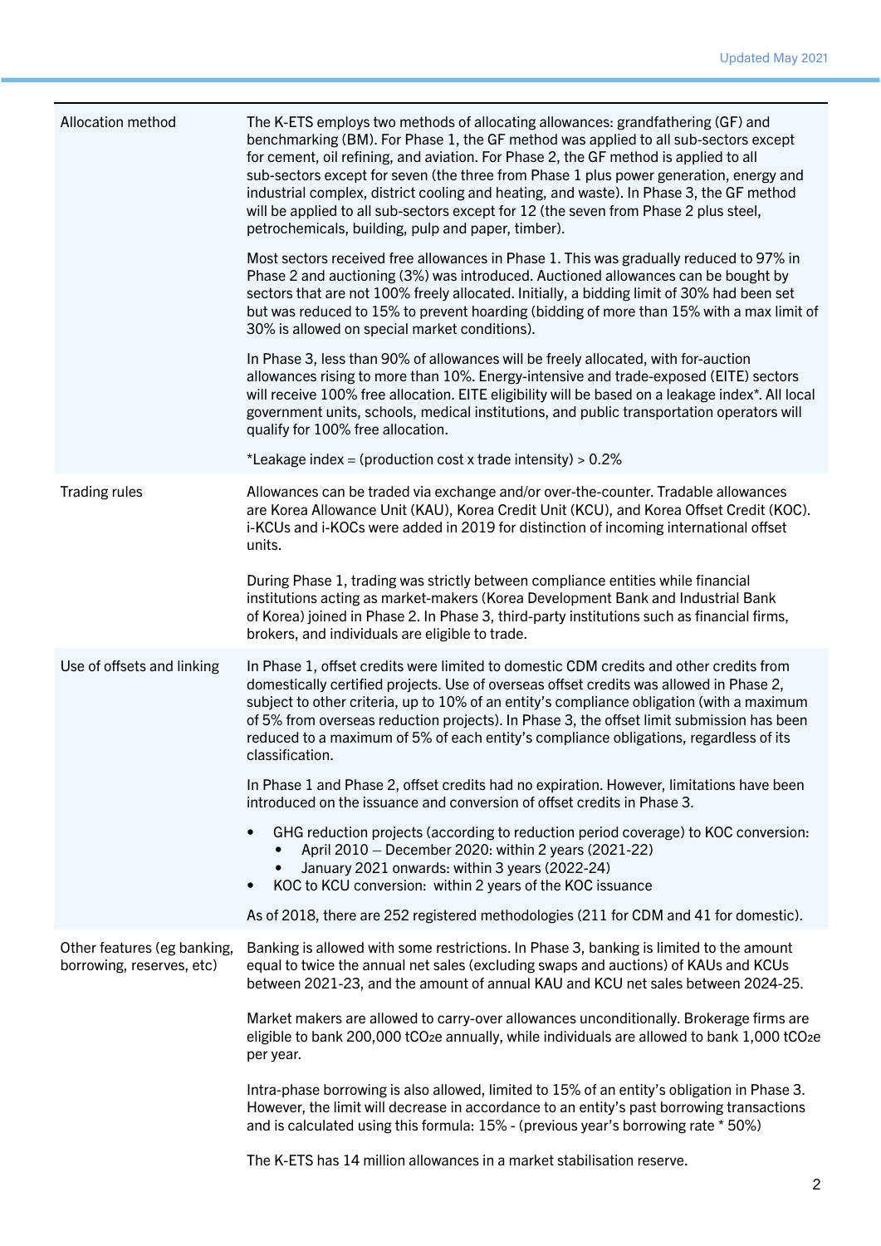| Allocation method                                        | The K-ETS employs two methods of allocating allowances: grandfathering (GF) and<br>benchmarking (BM). For Phase 1, the GF method was applied to all sub-sectors except<br>for cement, oil refining, and aviation. For Phase 2, the GF method is applied to all<br>sub-sectors except for seven (the three from Phase 1 plus power generation, energy and<br>industrial complex, district cooling and heating, and waste). In Phase 3, the GF method<br>will be applied to all sub-sectors except for 12 (the seven from Phase 2 plus steel,<br>petrochemicals, building, pulp and paper, timber). |  |  |  |  |  |  |
|----------------------------------------------------------|---------------------------------------------------------------------------------------------------------------------------------------------------------------------------------------------------------------------------------------------------------------------------------------------------------------------------------------------------------------------------------------------------------------------------------------------------------------------------------------------------------------------------------------------------------------------------------------------------|--|--|--|--|--|--|
|                                                          | Most sectors received free allowances in Phase 1. This was gradually reduced to 97% in<br>Phase 2 and auctioning (3%) was introduced. Auctioned allowances can be bought by<br>sectors that are not 100% freely allocated. Initially, a bidding limit of 30% had been set<br>but was reduced to 15% to prevent hoarding (bidding of more than 15% with a max limit of<br>30% is allowed on special market conditions).                                                                                                                                                                            |  |  |  |  |  |  |
|                                                          | In Phase 3, less than 90% of allowances will be freely allocated, with for-auction<br>allowances rising to more than 10%. Energy-intensive and trade-exposed (EITE) sectors<br>will receive 100% free allocation. EITE eligibility will be based on a leakage index*. All local<br>government units, schools, medical institutions, and public transportation operators will<br>qualify for 100% free allocation.                                                                                                                                                                                 |  |  |  |  |  |  |
|                                                          | *Leakage index = (production cost x trade intensity) > $0.2\%$                                                                                                                                                                                                                                                                                                                                                                                                                                                                                                                                    |  |  |  |  |  |  |
| <b>Trading rules</b>                                     | Allowances can be traded via exchange and/or over-the-counter. Tradable allowances<br>are Korea Allowance Unit (KAU), Korea Credit Unit (KCU), and Korea Offset Credit (KOC).<br>i-KCUs and i-KOCs were added in 2019 for distinction of incoming international offset<br>units.                                                                                                                                                                                                                                                                                                                  |  |  |  |  |  |  |
|                                                          | During Phase 1, trading was strictly between compliance entities while financial<br>institutions acting as market-makers (Korea Development Bank and Industrial Bank<br>of Korea) joined in Phase 2. In Phase 3, third-party institutions such as financial firms,<br>brokers, and individuals are eligible to trade.                                                                                                                                                                                                                                                                             |  |  |  |  |  |  |
| Use of offsets and linking                               | In Phase 1, offset credits were limited to domestic CDM credits and other credits from<br>domestically certified projects. Use of overseas offset credits was allowed in Phase 2,<br>subject to other criteria, up to 10% of an entity's compliance obligation (with a maximum<br>of 5% from overseas reduction projects). In Phase 3, the offset limit submission has been<br>reduced to a maximum of 5% of each entity's compliance obligations, regardless of its<br>classification.                                                                                                           |  |  |  |  |  |  |
|                                                          | In Phase 1 and Phase 2, offset credits had no expiration. However, limitations have been<br>introduced on the issuance and conversion of offset credits in Phase 3.                                                                                                                                                                                                                                                                                                                                                                                                                               |  |  |  |  |  |  |
|                                                          | GHG reduction projects (according to reduction period coverage) to KOC conversion:<br>April 2010 - December 2020: within 2 years (2021-22)<br>January 2021 onwards: within 3 years (2022-24)<br>KOC to KCU conversion: within 2 years of the KOC issuance<br>$\bullet$                                                                                                                                                                                                                                                                                                                            |  |  |  |  |  |  |
|                                                          | As of 2018, there are 252 registered methodologies (211 for CDM and 41 for domestic).                                                                                                                                                                                                                                                                                                                                                                                                                                                                                                             |  |  |  |  |  |  |
| Other features (eg banking,<br>borrowing, reserves, etc) | Banking is allowed with some restrictions. In Phase 3, banking is limited to the amount<br>equal to twice the annual net sales (excluding swaps and auctions) of KAUs and KCUs<br>between 2021-23, and the amount of annual KAU and KCU net sales between 2024-25.                                                                                                                                                                                                                                                                                                                                |  |  |  |  |  |  |
|                                                          | Market makers are allowed to carry-over allowances unconditionally. Brokerage firms are<br>eligible to bank 200,000 tCO <sub>2</sub> e annually, while individuals are allowed to bank 1,000 tCO <sub>2</sub> e<br>per year.                                                                                                                                                                                                                                                                                                                                                                      |  |  |  |  |  |  |
|                                                          | Intra-phase borrowing is also allowed, limited to 15% of an entity's obligation in Phase 3.<br>However, the limit will decrease in accordance to an entity's past borrowing transactions<br>and is calculated using this formula: 15% - (previous year's borrowing rate * 50%)                                                                                                                                                                                                                                                                                                                    |  |  |  |  |  |  |
|                                                          | The K-ETS has 14 million allowances in a market stabilisation reserve.                                                                                                                                                                                                                                                                                                                                                                                                                                                                                                                            |  |  |  |  |  |  |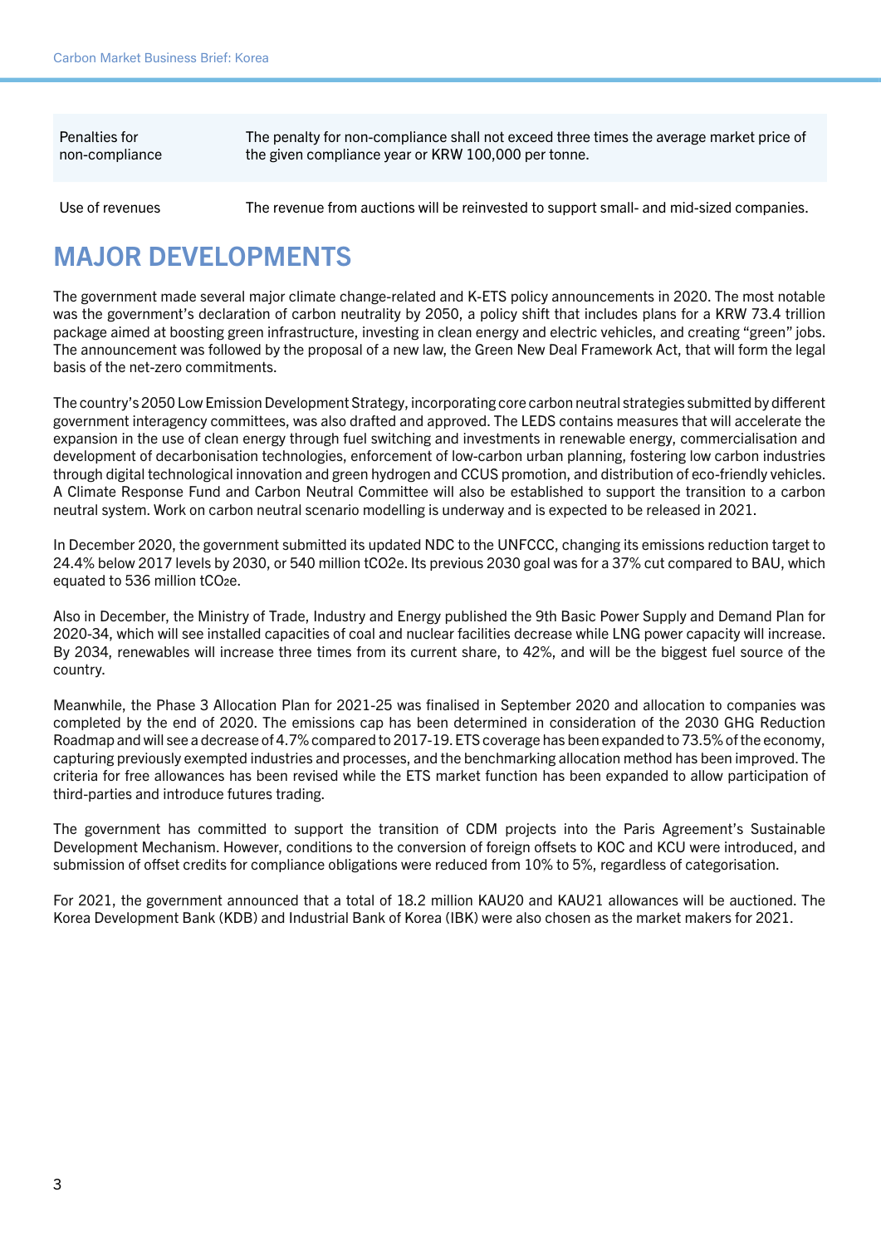Penalties for non-compliance

The penalty for non-compliance shall not exceed three times the average market price of the given compliance year or KRW 100,000 per tonne.

Use of revenues The revenue from auctions will be reinvested to support small- and mid-sized companies.

## MAJOR DEVELOPMENTS

The government made several major climate change-related and K-ETS policy announcements in 2020. The most notable was the government's declaration of carbon neutrality by 2050, a policy shift that includes plans for a KRW 73.4 trillion package aimed at boosting green infrastructure, investing in clean energy and electric vehicles, and creating "green" jobs. The announcement was followed by the proposal of a new law, the Green New Deal Framework Act, that will form the legal basis of the net-zero commitments.

The country's 2050 Low Emission Development Strategy, incorporating core carbon neutral strategies submitted by different government interagency committees, was also drafted and approved. The LEDS contains measures that will accelerate the expansion in the use of clean energy through fuel switching and investments in renewable energy, commercialisation and development of decarbonisation technologies, enforcement of low-carbon urban planning, fostering low carbon industries through digital technological innovation and green hydrogen and CCUS promotion, and distribution of eco-friendly vehicles. A Climate Response Fund and Carbon Neutral Committee will also be established to support the transition to a carbon neutral system. Work on carbon neutral scenario modelling is underway and is expected to be released in 2021.

In December 2020, the government submitted its updated NDC to the UNFCCC, changing its emissions reduction target to 24.4% below 2017 levels by 2030, or 540 million tCO2e. Its previous 2030 goal was for a 37% cut compared to BAU, which equated to 536 million tCO2e.

Also in December, the Ministry of Trade, Industry and Energy published the 9th Basic Power Supply and Demand Plan for 2020-34, which will see installed capacities of coal and nuclear facilities decrease while LNG power capacity will increase. By 2034, renewables will increase three times from its current share, to 42%, and will be the biggest fuel source of the country.

Meanwhile, the Phase 3 Allocation Plan for 2021-25 was finalised in September 2020 and allocation to companies was completed by the end of 2020. The emissions cap has been determined in consideration of the 2030 GHG Reduction Roadmap and will see a decrease of 4.7% compared to 2017-19. ETS coverage has been expanded to 73.5% of the economy, capturing previously exempted industries and processes, and the benchmarking allocation method has been improved. The criteria for free allowances has been revised while the ETS market function has been expanded to allow participation of third-parties and introduce futures trading.

The government has committed to support the transition of CDM projects into the Paris Agreement's Sustainable Development Mechanism. However, conditions to the conversion of foreign offsets to KOC and KCU were introduced, and submission of offset credits for compliance obligations were reduced from 10% to 5%, regardless of categorisation.

For 2021, the government announced that a total of 18.2 million KAU20 and KAU21 allowances will be auctioned. The Korea Development Bank (KDB) and Industrial Bank of Korea (IBK) were also chosen as the market makers for 2021.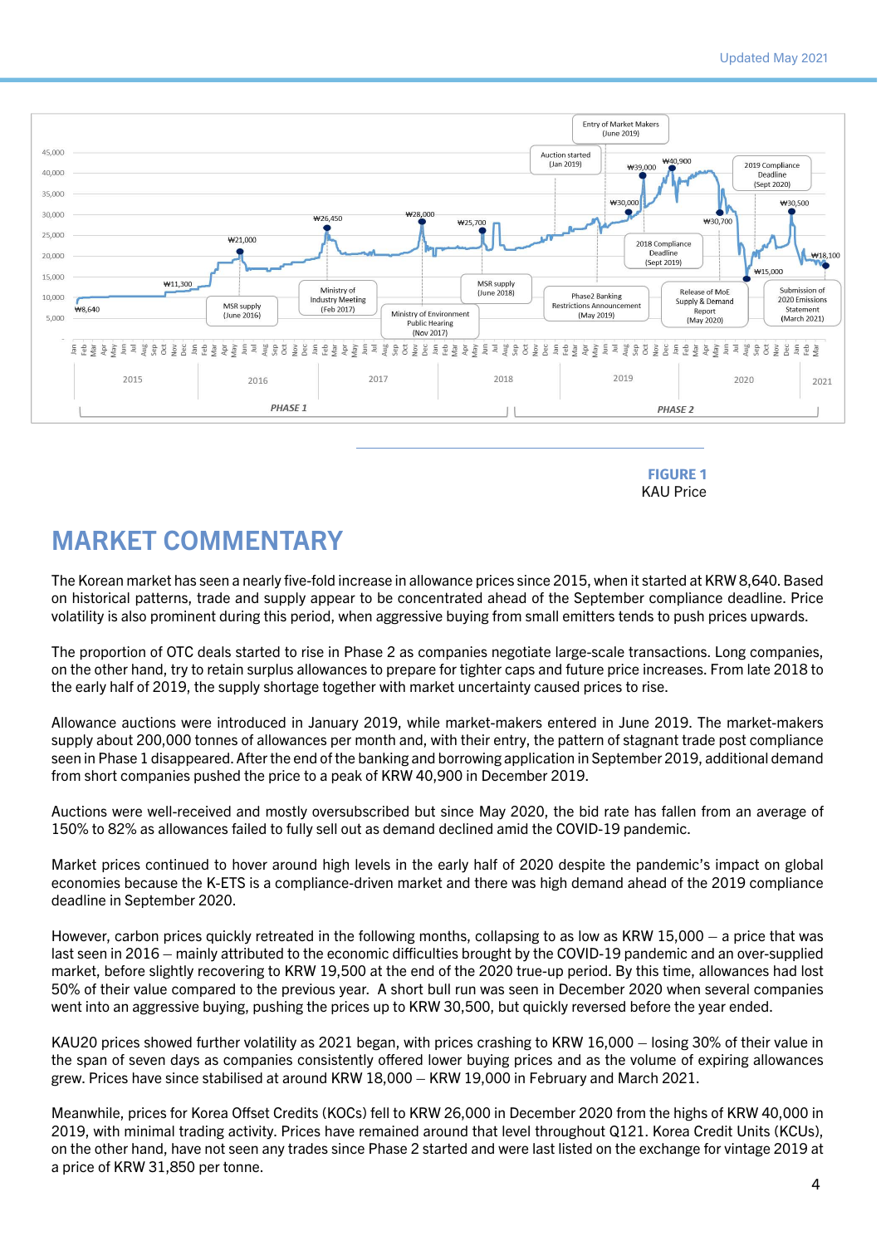

**FIGURE 1** KAU Price

#### MARKET COMMENTARY

The Korean market has seen a nearly five-fold increase in allowance prices since 2015, when it started at KRW 8,640. Based on historical patterns, trade and supply appear to be concentrated ahead of the September compliance deadline. Price volatility is also prominent during this period, when aggressive buying from small emitters tends to push prices upwards.

The proportion of OTC deals started to rise in Phase 2 as companies negotiate large-scale transactions. Long companies, on the other hand, try to retain surplus allowances to prepare for tighter caps and future price increases. From late 2018 to the early half of 2019, the supply shortage together with market uncertainty caused prices to rise.

Allowance auctions were introduced in January 2019, while market-makers entered in June 2019. The market-makers supply about 200,000 tonnes of allowances per month and, with their entry, the pattern of stagnant trade post compliance seen in Phase 1 disappeared. After the end of the banking and borrowing application in September 2019, additional demand from short companies pushed the price to a peak of KRW 40,900 in December 2019.

Auctions were well-received and mostly oversubscribed but since May 2020, the bid rate has fallen from an average of 150% to 82% as allowances failed to fully sell out as demand declined amid the COVID-19 pandemic.

Market prices continued to hover around high levels in the early half of 2020 despite the pandemic's impact on global economies because the K-ETS is a compliance-driven market and there was high demand ahead of the 2019 compliance deadline in September 2020.

However, carbon prices quickly retreated in the following months, collapsing to as low as KRW 15,000 – a price that was last seen in 2016 – mainly attributed to the economic difficulties brought by the COVID-19 pandemic and an over-supplied market, before slightly recovering to KRW 19,500 at the end of the 2020 true-up period. By this time, allowances had lost 50% of their value compared to the previous year. A short bull run was seen in December 2020 when several companies went into an aggressive buying, pushing the prices up to KRW 30,500, but quickly reversed before the year ended.

KAU20 prices showed further volatility as 2021 began, with prices crashing to KRW 16,000 – losing 30% of their value in the span of seven days as companies consistently offered lower buying prices and as the volume of expiring allowances grew. Prices have since stabilised at around KRW 18,000 – KRW 19,000 in February and March 2021.

Meanwhile, prices for Korea Offset Credits (KOCs) fell to KRW 26,000 in December 2020 from the highs of KRW 40,000 in 2019, with minimal trading activity. Prices have remained around that level throughout Q121. Korea Credit Units (KCUs), on the other hand, have not seen any trades since Phase 2 started and were last listed on the exchange for vintage 2019 at a price of KRW 31,850 per tonne.